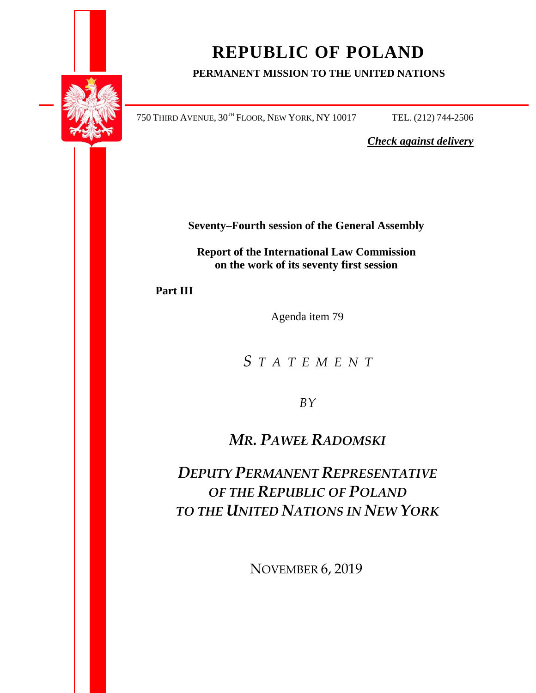

# **REPUBLIC OF POLAND**

## **PERMANENT MISSION TO THE UNITED NATIONS**

750 THIRD AVENUE, 30TH FLOOR, NEW YORK, NY 10017 TEL. (212) 744-2506

*Check against delivery*

**Seventy–Fourth session of the General Assembly**

**Report of the International Law Commission on the work of its seventy first session** 

**Part III**

Agenda item 79

*S T A T E M E N T*

*BY*

*MR. PAWEŁ RADOMSKI*

*DEPUTY PERMANENT REPRESENTATIVE OF THE REPUBLIC OF POLAND TO THE UNITED NATIONS IN NEW YORK*

NOVEMBER 6, 2019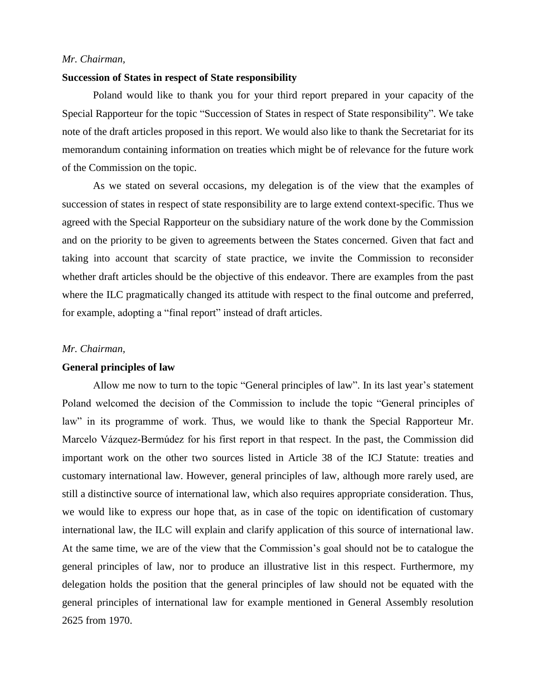### *Mr. Chairman,*

#### **Succession of States in respect of State responsibility**

Poland would like to thank you for your third report prepared in your capacity of the Special Rapporteur for the topic "Succession of States in respect of State responsibility". We take note of the draft articles proposed in this report. We would also like to thank the Secretariat for its memorandum containing information on treaties which might be of relevance for the future work of the Commission on the topic.

As we stated on several occasions, my delegation is of the view that the examples of succession of states in respect of state responsibility are to large extend context-specific. Thus we agreed with the Special Rapporteur on the subsidiary nature of the work done by the Commission and on the priority to be given to agreements between the States concerned. Given that fact and taking into account that scarcity of state practice, we invite the Commission to reconsider whether draft articles should be the objective of this endeavor. There are examples from the past where the ILC pragmatically changed its attitude with respect to the final outcome and preferred, for example, adopting a "final report" instead of draft articles.

#### *Mr. Chairman,*

#### **General principles of law**

Allow me now to turn to the topic "General principles of law". In its last year's statement Poland welcomed the decision of the Commission to include the topic "General principles of law" in its programme of work. Thus, we would like to thank the Special Rapporteur Mr. Marcelo Vázquez-Bermúdez for his first report in that respect. In the past, the Commission did important work on the other two sources listed in Article 38 of the ICJ Statute: treaties and customary international law. However, general principles of law, although more rarely used, are still a distinctive source of international law, which also requires appropriate consideration. Thus, we would like to express our hope that, as in case of the topic on identification of customary international law, the ILC will explain and clarify application of this source of international law. At the same time, we are of the view that the Commission's goal should not be to catalogue the general principles of law, nor to produce an illustrative list in this respect. Furthermore, my delegation holds the position that the general principles of law should not be equated with the general principles of international law for example mentioned in General Assembly resolution 2625 from 1970.